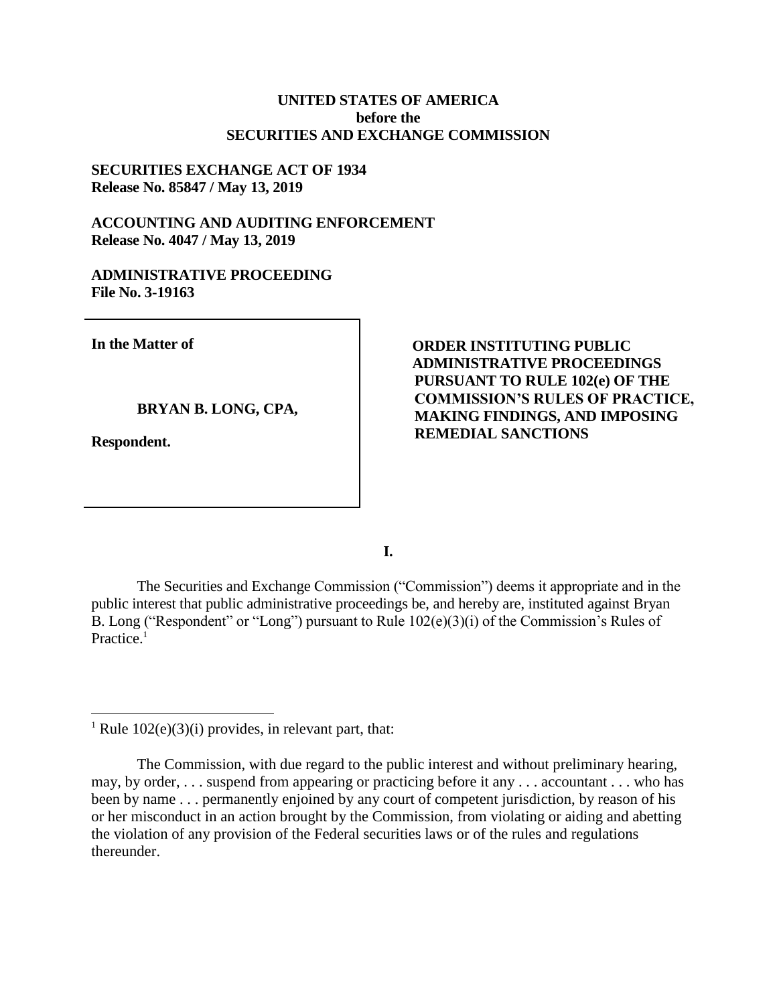## **UNITED STATES OF AMERICA before the SECURITIES AND EXCHANGE COMMISSION**

# **SECURITIES EXCHANGE ACT OF 1934 Release No. 85847 / May 13, 2019**

# **ACCOUNTING AND AUDITING ENFORCEMENT Release No. 4047 / May 13, 2019**

#### **ADMINISTRATIVE PROCEEDING File No. 3-19163**

**In the Matter of**

#### **BRYAN B. LONG, CPA,**

**Respondent.**

 $\overline{a}$ 

**ORDER INSTITUTING PUBLIC ADMINISTRATIVE PROCEEDINGS PURSUANT TO RULE 102(e) OF THE COMMISSION'S RULES OF PRACTICE, MAKING FINDINGS, AND IMPOSING REMEDIAL SANCTIONS**

**I.**

The Securities and Exchange Commission ("Commission") deems it appropriate and in the public interest that public administrative proceedings be, and hereby are, instituted against Bryan B. Long ("Respondent" or "Long") pursuant to Rule 102(e)(3)(i) of the Commission's Rules of Practice.<sup>1</sup>

<sup>&</sup>lt;sup>1</sup> Rule  $102(e)(3)(i)$  provides, in relevant part, that:

The Commission, with due regard to the public interest and without preliminary hearing, may, by order, . . . suspend from appearing or practicing before it any . . . accountant . . . who has been by name . . . permanently enjoined by any court of competent jurisdiction, by reason of his or her misconduct in an action brought by the Commission, from violating or aiding and abetting the violation of any provision of the Federal securities laws or of the rules and regulations thereunder.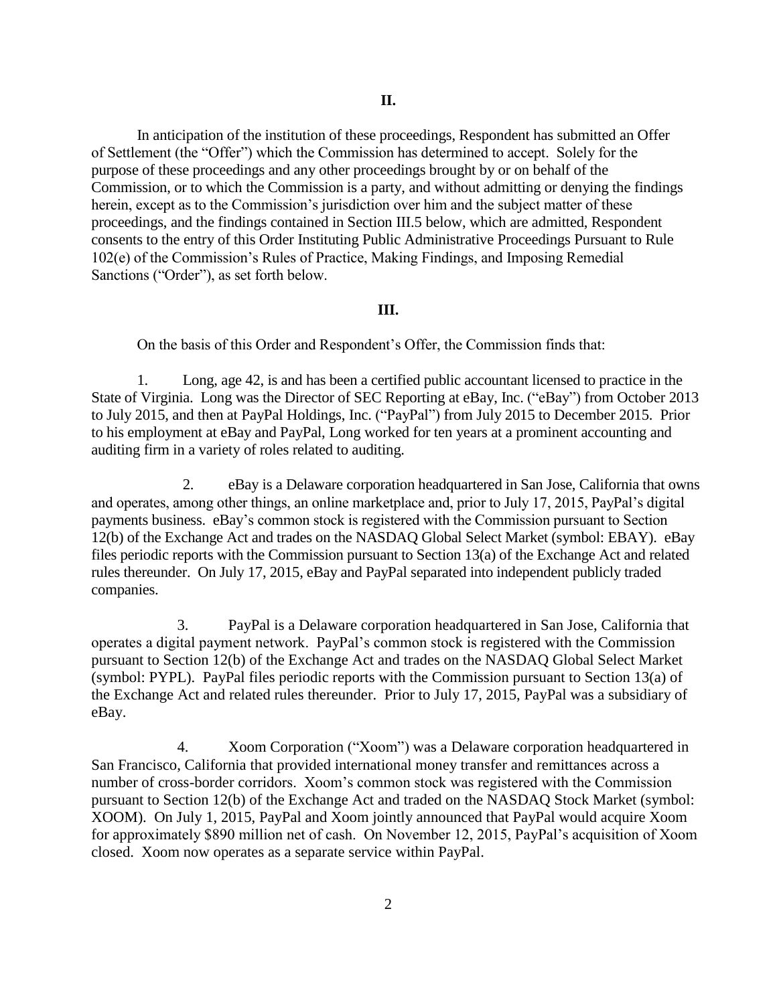In anticipation of the institution of these proceedings, Respondent has submitted an Offer of Settlement (the "Offer") which the Commission has determined to accept. Solely for the purpose of these proceedings and any other proceedings brought by or on behalf of the Commission, or to which the Commission is a party, and without admitting or denying the findings herein, except as to the Commission's jurisdiction over him and the subject matter of these proceedings, and the findings contained in Section III.5 below, which are admitted, Respondent consents to the entry of this Order Instituting Public Administrative Proceedings Pursuant to Rule 102(e) of the Commission's Rules of Practice, Making Findings, and Imposing Remedial Sanctions ("Order"), as set forth below.

#### **III.**

On the basis of this Order and Respondent's Offer, the Commission finds that:

1. Long, age 42, is and has been a certified public accountant licensed to practice in the State of Virginia. Long was the Director of SEC Reporting at eBay, Inc. ("eBay") from October 2013 to July 2015, and then at PayPal Holdings, Inc. ("PayPal") from July 2015 to December 2015. Prior to his employment at eBay and PayPal, Long worked for ten years at a prominent accounting and auditing firm in a variety of roles related to auditing.

2. eBay is a Delaware corporation headquartered in San Jose, California that owns and operates, among other things, an online marketplace and, prior to July 17, 2015, PayPal's digital payments business. eBay's common stock is registered with the Commission pursuant to Section 12(b) of the Exchange Act and trades on the NASDAQ Global Select Market (symbol: EBAY). eBay files periodic reports with the Commission pursuant to Section 13(a) of the Exchange Act and related rules thereunder. On July 17, 2015, eBay and PayPal separated into independent publicly traded companies.

3. PayPal is a Delaware corporation headquartered in San Jose, California that operates a digital payment network. PayPal's common stock is registered with the Commission pursuant to Section 12(b) of the Exchange Act and trades on the NASDAQ Global Select Market (symbol: PYPL). PayPal files periodic reports with the Commission pursuant to Section 13(a) of the Exchange Act and related rules thereunder. Prior to July 17, 2015, PayPal was a subsidiary of eBay.

4. Xoom Corporation ("Xoom") was a Delaware corporation headquartered in San Francisco, California that provided international money transfer and remittances across a number of cross-border corridors. Xoom's common stock was registered with the Commission pursuant to Section 12(b) of the Exchange Act and traded on the NASDAQ Stock Market (symbol: XOOM). On July 1, 2015, PayPal and Xoom jointly announced that PayPal would acquire Xoom for approximately \$890 million net of cash. On November 12, 2015, PayPal's acquisition of Xoom closed. Xoom now operates as a separate service within PayPal.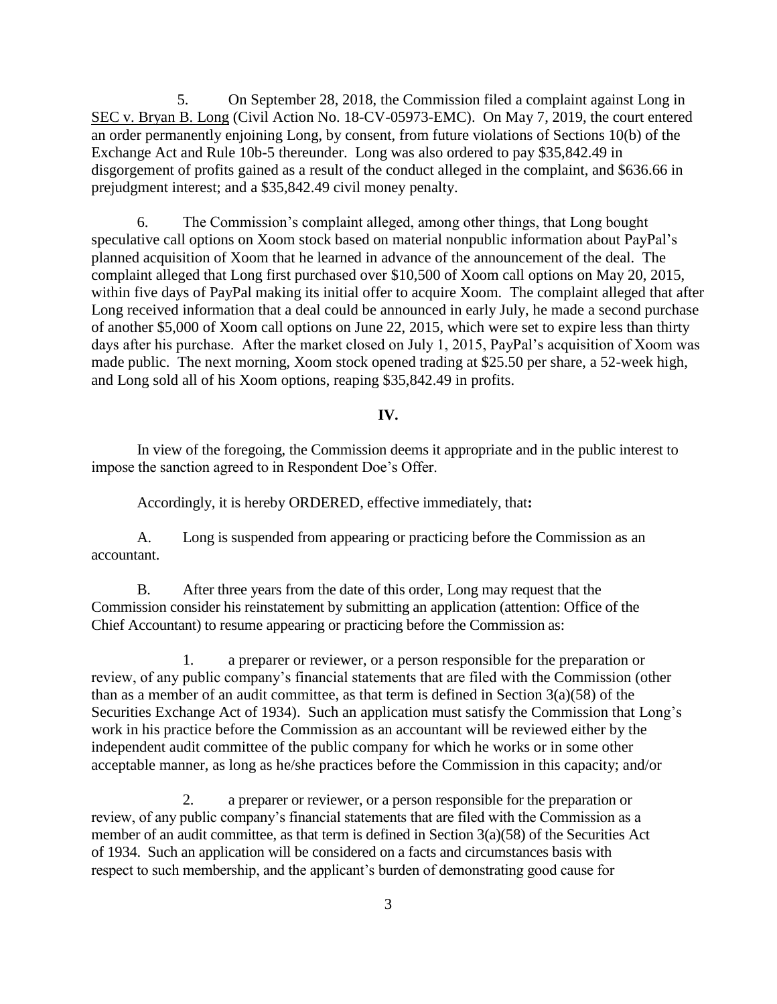5. On September 28, 2018, the Commission filed a complaint against Long in SEC v. Bryan B. Long (Civil Action No. 18-CV-05973-EMC). On May 7, 2019, the court entered an order permanently enjoining Long, by consent, from future violations of Sections 10(b) of the Exchange Act and Rule 10b-5 thereunder. Long was also ordered to pay \$35,842.49 in disgorgement of profits gained as a result of the conduct alleged in the complaint, and \$636.66 in prejudgment interest; and a \$35,842.49 civil money penalty.

6. The Commission's complaint alleged, among other things, that Long bought speculative call options on Xoom stock based on material nonpublic information about PayPal's planned acquisition of Xoom that he learned in advance of the announcement of the deal. The complaint alleged that Long first purchased over \$10,500 of Xoom call options on May 20, 2015, within five days of PayPal making its initial offer to acquire Xoom. The complaint alleged that after Long received information that a deal could be announced in early July, he made a second purchase of another \$5,000 of Xoom call options on June 22, 2015, which were set to expire less than thirty days after his purchase. After the market closed on July 1, 2015, PayPal's acquisition of Xoom was made public. The next morning, Xoom stock opened trading at \$25.50 per share, a 52-week high, and Long sold all of his Xoom options, reaping \$35,842.49 in profits.

#### **IV.**

In view of the foregoing, the Commission deems it appropriate and in the public interest to impose the sanction agreed to in Respondent Doe's Offer.

Accordingly, it is hereby ORDERED, effective immediately, that**:**

A. Long is suspended from appearing or practicing before the Commission as an accountant.

B. After three years from the date of this order, Long may request that the Commission consider his reinstatement by submitting an application (attention: Office of the Chief Accountant) to resume appearing or practicing before the Commission as:

 1. a preparer or reviewer, or a person responsible for the preparation or review, of any public company's financial statements that are filed with the Commission (other than as a member of an audit committee, as that term is defined in Section  $3(a)(58)$  of the Securities Exchange Act of 1934). Such an application must satisfy the Commission that Long's work in his practice before the Commission as an accountant will be reviewed either by the independent audit committee of the public company for which he works or in some other acceptable manner, as long as he/she practices before the Commission in this capacity; and/or

2. a preparer or reviewer, or a person responsible for the preparation or review, of any public company's financial statements that are filed with the Commission as a member of an audit committee, as that term is defined in Section 3(a)(58) of the Securities Act of 1934. Such an application will be considered on a facts and circumstances basis with respect to such membership, and the applicant's burden of demonstrating good cause for